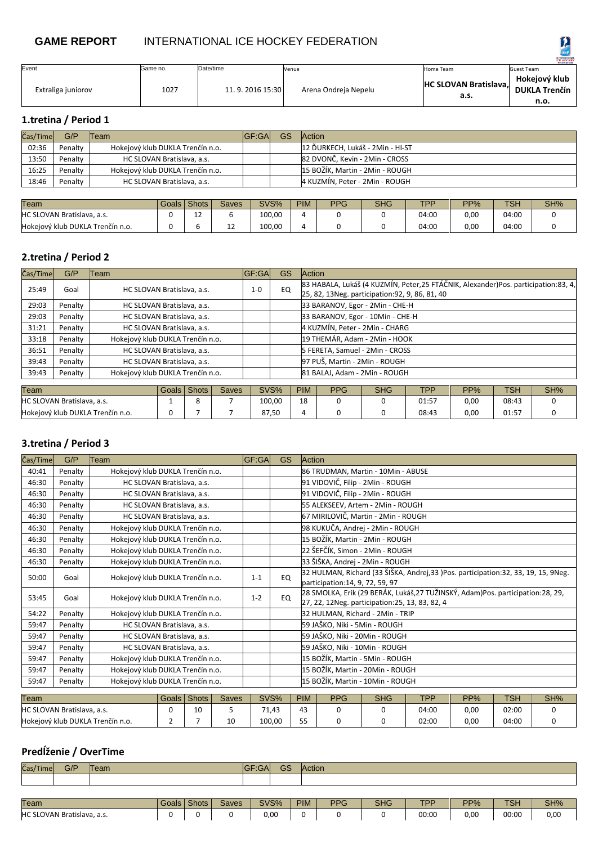# **GAME REPORT** INTERNATIONAL ICE HOCKEY FEDERATION

|                    |          |                 |                      |                                      | <b>ICE HOCKEY</b>                             |
|--------------------|----------|-----------------|----------------------|--------------------------------------|-----------------------------------------------|
| Event              | Game no. | Date/time       | Venue                | Home Team                            | Guest Team                                    |
| Extraliga juniorov | 1027     | 11.9.2016 15:30 | Arena Ondreja Nepelu | <b>HC SLOVAN Bratislava,</b><br>a.s. | Hokejový klub<br><b>DUKLA Trenčín</b><br>n.o. |

**1.tretina / Period 1**

| Čas/Time | G/P     | Team                             | IGF:GAI | GS | <b>Action</b>                    |
|----------|---------|----------------------------------|---------|----|----------------------------------|
| 02:36    | Penalty | Hokejový klub DUKLA Trenčín n.o. |         |    | 12 ĎURKECH, Lukáš - 2Min - HI-ST |
| 13:50    | Penalty | HC SLOVAN Bratislava, a.s.       |         |    | 82 DVONČ, Kevin - 2Min - CROSS   |
| 16:25    | Penalty | Hokejový klub DUKLA Trenčín n.o. |         |    | 15 BOŽÍK, Martin - 2Min - ROUGH  |
| 18:46    | Penalty | HC SLOVAN Bratislava, a.s.       |         |    | 4 KUZMÍN, Peter - 2Min - ROUGH   |
|          |         |                                  |         |    |                                  |

| Team                             | Goals l | Shots   | <b>Saves</b> | SVS%   | <b>PIM</b> | <b>PPG</b> | <b>SHG</b> | <b>TDD</b> | $PP\%$ | TSH   | SH% |
|----------------------------------|---------|---------|--------------|--------|------------|------------|------------|------------|--------|-------|-----|
| HC SLOVAN Bratislava, a.s.       |         | ∽<br>∸∸ |              | 100,00 |            |            |            | 04:00      | 0,00   | 04:00 |     |
| Hokejový klub DUKLA Trenčín n.o. |         |         | ᅩ            | 100.00 |            |            |            | 04:00      | 0,00   | 04:00 |     |

## **2.tretina / Period 2**

| Čas/Time                               | G/P     | Team                             |                                  |              |              | <b>GF:GA</b> | <b>GS</b> |                                                                                                                                        | <b>Action</b>                    |            |       |      |       |     |  |  |  |
|----------------------------------------|---------|----------------------------------|----------------------------------|--------------|--------------|--------------|-----------|----------------------------------------------------------------------------------------------------------------------------------------|----------------------------------|------------|-------|------|-------|-----|--|--|--|
| 25:49                                  | Goal    | HC SLOVAN Bratislava, a.s.       |                                  |              | $1 - 0$      | EQ           |           | 83 HABALA, Lukáš (4 KUZMÍN, Peter, 25 FTÁČNIK, Alexander)Pos. participation: 83, 4,<br>25, 82, 13Neg. participation: 92, 9, 86, 81, 40 |                                  |            |       |      |       |     |  |  |  |
| 29:03                                  | Penalty |                                  | HC SLOVAN Bratislava, a.s.       |              |              |              |           |                                                                                                                                        | 33 BARANOV, Egor - 2Min - CHE-H  |            |       |      |       |     |  |  |  |
| 29:03                                  | Penalty |                                  | HC SLOVAN Bratislava, a.s.       |              |              |              |           |                                                                                                                                        | 33 BARANOV, Egor - 10Min - CHE-H |            |       |      |       |     |  |  |  |
| 31:21                                  | Penalty |                                  | HC SLOVAN Bratislava, a.s.       |              |              |              |           |                                                                                                                                        | 4 KUZMÍN, Peter - 2Min - CHARG   |            |       |      |       |     |  |  |  |
| 33:18                                  | Penalty |                                  | Hokejový klub DUKLA Trenčín n.o. |              |              |              |           |                                                                                                                                        | 19 THEMÁR, Adam - 2Min - HOOK    |            |       |      |       |     |  |  |  |
| 36:51                                  | Penalty | HC SLOVAN Bratislava, a.s.       |                                  |              |              |              |           |                                                                                                                                        | 5 FERETA, Samuel - 2Min - CROSS  |            |       |      |       |     |  |  |  |
| 39:43                                  | Penalty | HC SLOVAN Bratislava, a.s.       |                                  |              |              |              |           |                                                                                                                                        | 97 PUŠ, Martin - 2Min - ROUGH    |            |       |      |       |     |  |  |  |
| 39:43                                  | Penalty | Hokejový klub DUKLA Trenčín n.o. |                                  |              |              |              |           |                                                                                                                                        | 81 BALAJ, Adam - 2Min - ROUGH    |            |       |      |       |     |  |  |  |
|                                        |         |                                  |                                  |              |              |              |           |                                                                                                                                        |                                  |            |       |      |       |     |  |  |  |
| Team                                   |         |                                  | Goals I                          | <b>Shots</b> | <b>Saves</b> |              | SVS%      | <b>PIM</b>                                                                                                                             | <b>PPG</b>                       | <b>SHG</b> | TPP.  | PP%  | TSH   | SH% |  |  |  |
| <b>HC SLOVAN Bratislava, a.s.</b><br>8 |         |                                  |                                  |              |              |              | 100,00    | 18                                                                                                                                     | $\Omega$                         | 0          | 01:57 | 0,00 | 08:43 | 0   |  |  |  |

Hokejový klub DUKLA Trenčín n.o. | 0 | 7 | 7 | 87,50 | 4 | 0 | 0 | 08:43 | 0,00 | 01:57 | 0

#### **3.tretina / Period 3**

| Čas/Time | G/P                        | Team                             |                                                                      |                                                                   |                   | <b>GF:GA</b>                                                                                                                                                                                                                                                  | <b>GS</b> |                                  | <b>Action</b>                                                                                                                    |   |       |      |       |     |
|----------|----------------------------|----------------------------------|----------------------------------------------------------------------|-------------------------------------------------------------------|-------------------|---------------------------------------------------------------------------------------------------------------------------------------------------------------------------------------------------------------------------------------------------------------|-----------|----------------------------------|----------------------------------------------------------------------------------------------------------------------------------|---|-------|------|-------|-----|
| 40:41    | Penalty                    | Hokejový klub DUKLA Trenčín n.o. |                                                                      | 86 TRUDMAN, Martin - 10Min - ABUSE                                |                   |                                                                                                                                                                                                                                                               |           |                                  |                                                                                                                                  |   |       |      |       |     |
| 46:30    | Penalty                    |                                  |                                                                      | 91 VIDOVIČ, Filip - 2Min - ROUGH<br>HC SLOVAN Bratislava, a.s.    |                   |                                                                                                                                                                                                                                                               |           |                                  |                                                                                                                                  |   |       |      |       |     |
| 46:30    | Penalty                    | HC SLOVAN Bratislava, a.s.       |                                                                      |                                                                   |                   |                                                                                                                                                                                                                                                               |           | 91 VIDOVIČ, Filip - 2Min - ROUGH |                                                                                                                                  |   |       |      |       |     |
| 46:30    | Penalty                    |                                  |                                                                      | 55 ALEKSEEV, Artem - 2Min - ROUGH<br>HC SLOVAN Bratislava, a.s.   |                   |                                                                                                                                                                                                                                                               |           |                                  |                                                                                                                                  |   |       |      |       |     |
| 46:30    | Penalty                    |                                  |                                                                      | 67 MIRILOVIČ, Martin - 2Min - ROUGH<br>HC SLOVAN Bratislava, a.s. |                   |                                                                                                                                                                                                                                                               |           |                                  |                                                                                                                                  |   |       |      |       |     |
| 46:30    | Penalty                    |                                  | 98 KUKUČA, Andrej - 2Min - ROUGH<br>Hokejový klub DUKLA Trenčín n.o. |                                                                   |                   |                                                                                                                                                                                                                                                               |           |                                  |                                                                                                                                  |   |       |      |       |     |
| 46:30    | Penalty                    |                                  | 15 BOŽÍK, Martin - 2Min - ROUGH<br>Hokejový klub DUKLA Trenčín n.o.  |                                                                   |                   |                                                                                                                                                                                                                                                               |           |                                  |                                                                                                                                  |   |       |      |       |     |
| 46:30    | Penalty                    |                                  | 22 ŠEFČÍK, Simon - 2Min - ROUGH<br>Hokejový klub DUKLA Trenčín n.o.  |                                                                   |                   |                                                                                                                                                                                                                                                               |           |                                  |                                                                                                                                  |   |       |      |       |     |
| 46:30    | Penalty                    |                                  | 33 ŠIŠKA, Andrej - 2Min - ROUGH<br>Hokejový klub DUKLA Trenčín n.o.  |                                                                   |                   |                                                                                                                                                                                                                                                               |           |                                  |                                                                                                                                  |   |       |      |       |     |
| 50:00    | Goal                       | Hokejový klub DUKLA Trenčín n.o. |                                                                      |                                                                   |                   | $1 - 1$                                                                                                                                                                                                                                                       | EQ        |                                  | 32 HULMAN, Richard (33 ŠIŠKA, Andrej, 33 )Pos. participation: 32, 33, 19, 15, 9Neg.<br>participation: 14, 9, 72, 59, 97          |   |       |      |       |     |
| 53:45    | Goal                       | Hokejový klub DUKLA Trenčín n.o. |                                                                      |                                                                   |                   | $1 - 2$                                                                                                                                                                                                                                                       | EQ        |                                  | 28 SMOLKA, Erik (29 BERÁK, Lukáš,27 TUŽINSKÝ, Adam)Pos. participation:28, 29,<br>27, 22, 12Neg. participation: 25, 13, 83, 82, 4 |   |       |      |       |     |
| 54:22    | Penalty                    | Hokejový klub DUKLA Trenčín n.o. |                                                                      |                                                                   |                   |                                                                                                                                                                                                                                                               |           |                                  | 32 HULMAN, Richard - 2Min - TRIP                                                                                                 |   |       |      |       |     |
| 59:47    | Penalty                    | HC SLOVAN Bratislava, a.s.       |                                                                      |                                                                   |                   |                                                                                                                                                                                                                                                               |           |                                  |                                                                                                                                  |   |       |      |       |     |
| 59:47    | Penalty                    | HC SLOVAN Bratislava, a.s.       |                                                                      |                                                                   |                   |                                                                                                                                                                                                                                                               |           |                                  |                                                                                                                                  |   |       |      |       |     |
| 59:47    | Penalty                    | HC SLOVAN Bratislava, a.s.       |                                                                      |                                                                   |                   |                                                                                                                                                                                                                                                               |           |                                  |                                                                                                                                  |   |       |      |       |     |
| 59:47    | Penalty                    | Hokejový klub DUKLA Trenčín n.o. |                                                                      |                                                                   |                   |                                                                                                                                                                                                                                                               |           |                                  |                                                                                                                                  |   |       |      |       |     |
| 59:47    | Penalty                    | Hokejový klub DUKLA Trenčín n.o. |                                                                      |                                                                   |                   | 15 BOŽÍK, Martin - 20Min - ROUGH                                                                                                                                                                                                                              |           |                                  |                                                                                                                                  |   |       |      |       |     |
| 59:47    | Penalty                    | Hokejový klub DUKLA Trenčín n.o. |                                                                      |                                                                   |                   |                                                                                                                                                                                                                                                               |           |                                  |                                                                                                                                  |   |       |      |       |     |
|          |                            |                                  |                                                                      |                                                                   |                   |                                                                                                                                                                                                                                                               |           |                                  |                                                                                                                                  |   |       |      |       | SH% |
|          |                            |                                  |                                                                      |                                                                   |                   |                                                                                                                                                                                                                                                               | 71,43     | 43                               | 0                                                                                                                                | 0 | 04:00 | 0,00 | 02:00 |     |
| Team     | HC SLOVAN Bratislava, a.s. |                                  | Goals<br>0                                                           | <b>Shots</b><br>10                                                | <b>Saves</b><br>5 | 59 JAŠKO, Niki - 5Min - ROUGH<br>59 JAŠKO, Niki - 20Min - ROUGH<br>59 JAŠKO, Niki - 10Min - ROUGH<br>15 BOŽÍK, Martin - 5Min - ROUGH<br>15 BOŽÍK, Martin - 10Min - ROUGH<br>SVS%<br><b>PPG</b><br><b>TPP</b><br><b>TSH</b><br><b>PIM</b><br><b>SHG</b><br>PP% |           |                                  |                                                                                                                                  |   |       |      |       | 0   |

### **Predĺženie / OverTime**

| Čas/Time    | G/P                                  | <b>Team</b> |             |  |              | <b>GF:GAI</b> | GS | <b>Action</b> |            |       |      |       |            |     |
|-------------|--------------------------------------|-------------|-------------|--|--------------|---------------|----|---------------|------------|-------|------|-------|------------|-----|
|             |                                      |             |             |  |              |               |    |               |            |       |      |       |            |     |
|             |                                      |             |             |  |              |               |    |               |            |       |      |       |            |     |
| <b>Team</b> |                                      |             | Goals Shots |  | <b>Saves</b> | SVS%          |    | <b>PIM</b>    | <b>PPG</b> | SHG   | TPP  | PP%   | <b>TSH</b> | SH% |
|             | HC SLOVAN Bratislava, a.s.<br>C<br>u |             |             |  | 0,00         |               | n  |               |            | 00:00 | 0,00 | 00:00 | 0,00       |     |

Hokejový klub DUKLA Trenčín n.o. | 2 | 7 | 10 | 100,00 | 55 | 0 | 0 | 02:00 | 0,00 | 04:00 | 0